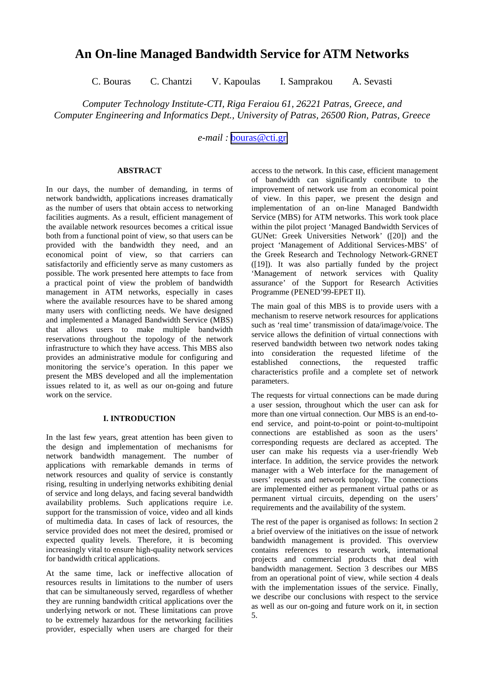# **An On-line Managed Bandwidth Service for ATM Networks**

C. Bouras C. Chantzi V. Kapoulas I. Samprakou A. Sevasti

*Computer Technology Institute-CTI, Riga Feraiou 61, 26221 Patras, Greece, and Computer Engineering and Informatics Dept., University of Patras, 26500 Rion, Patras, Greece*

*e-mail :* [bouras@cti.gr](mailto:bouras@cti.gr)

#### **ABSTRACT**

In our days, the number of demanding, in terms of network bandwidth, applications increases dramatically as the number of users that obtain access to networking facilities augments. As a result, efficient management of the available network resources becomes a critical issue both from a functional point of view, so that users can be provided with the bandwidth they need, and an economical point of view, so that carriers can satisfactorily and efficiently serve as many customers as possible. The work presented here attempts to face from a practical point of view the problem of bandwidth management in ATM networks, especially in cases where the available resources have to be shared among many users with conflicting needs. We have designed and implemented a Managed Bandwidth Service (MBS) that allows users to make multiple bandwidth reservations throughout the topology of the network infrastructure to which they have access. This MBS also provides an administrative module for configuring and monitoring the service's operation. In this paper we present the MBS developed and all the implementation issues related to it, as well as our on-going and future work on the service.

# **I. INTRODUCTION**

In the last few years, great attention has been given to the design and implementation of mechanisms for network bandwidth management. The number of applications with remarkable demands in terms of network resources and quality of service is constantly rising, resulting in underlying networks exhibiting denial of service and long delays, and facing several bandwidth availability problems. Such applications require i.e. support for the transmission of voice, video and all kinds of multimedia data. In cases of lack of resources, the service provided does not meet the desired, promised or expected quality levels. Therefore, it is becoming increasingly vital to ensure high-quality network services for bandwidth critical applications.

At the same time, lack or ineffective allocation of resources results in limitations to the number of users that can be simultaneously served, regardless of whether they are running bandwidth critical applications over the underlying network or not. These limitations can prove to be extremely hazardous for the networking facilities provider, especially when users are charged for their

access to the network. In this case, efficient management of bandwidth can significantly contribute to the improvement of network use from an economical point of view. In this paper, we present the design and implementation of an on-line Managed Bandwidth Service (MBS) for ATM networks. This work took place within the pilot project 'Managed Bandwidth Services of GUNet: Greek Universities Network' ([20]) and the project 'Management of Additional Services-MBS' of the Greek Research and Technology Network-GRNET ([19]). It was also partially funded by the project 'Management of network services with Quality assurance' of the Support for Research Activities Programme (PENED'99-EPET II).

The main goal of this MBS is to provide users with a mechanism to reserve network resources for applications such as 'real time' transmission of data/image/voice. The service allows the definition of virtual connections with reserved bandwidth between two network nodes taking into consideration the requested lifetime of the established connections, the requested traffic characteristics profile and a complete set of network parameters.

The requests for virtual connections can be made during a user session, throughout which the user can ask for more than one virtual connection. Our MBS is an end-toend service, and point-to-point or point-to-multipoint connections are established as soon as the users' corresponding requests are declared as accepted. The user can make his requests via a user-friendly Web interface. In addition, the service provides the network manager with a Web interface for the management of users' requests and network topology. The connections are implemented either as permanent virtual paths or as permanent virtual circuits, depending on the users' requirements and the availability of the system.

The rest of the paper is organised as follows: In section 2 a brief overview of the initiatives on the issue of network bandwidth management is provided. This overview contains references to research work, international projects and commercial products that deal with bandwidth management. Section 3 describes our MBS from an operational point of view, while section 4 deals with the implementation issues of the service. Finally, we describe our conclusions with respect to the service as well as our on-going and future work on it, in section 5.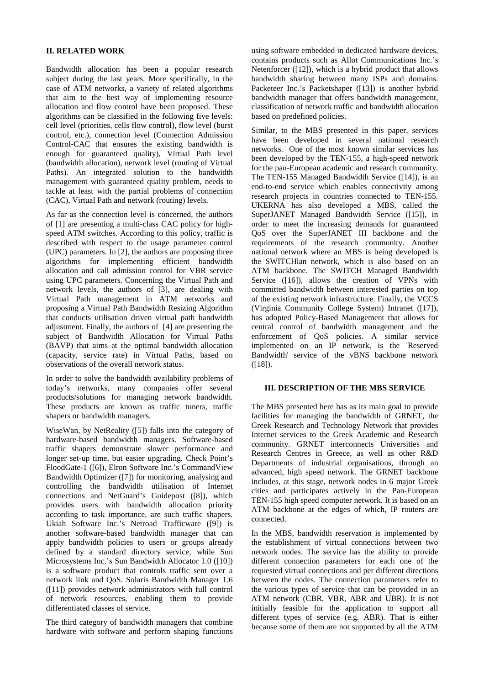### **II. RELATED WORK**

Bandwidth allocation has been a popular research subject during the last years. More specifically, in the case of ATM networks, a variety of related algorithms that aim to the best way of implementing resource allocation and flow control have been proposed. These algorithms can be classified in the following five levels: cell level (priorities, cells flow control), flow level (burst control, etc.), connection level (Connection Admission Control-CAC that ensures the existing bandwidth is enough for guaranteed quality), Virtual Path level (bandwidth allocation), network level (routing of Virtual Paths). An integrated solution to the bandwidth management with guaranteed quality problem, needs to tackle at least with the partial problems of connection (CAC), Virtual Path and network (routing) levels.

As far as the connection level is concerned, the authors of [1] are presenting a multi-class CAC policy for highspeed ATM switches. According to this policy, traffic is described with respect to the usage parameter control (UPC) parameters. In [2], the authors are proposing three algorithms for implementing efficient bandwidth allocation and call admission control for VBR service using UPC parameters. Concerning the Virtual Path and network levels, the authors of [3], are dealing with Virtual Path management in ATM networks and proposing a Virtual Path Bandwidth Resizing Algorithm that conducts utilisation driven virtual path bandwidth adjustment. Finally, the authors of [4] are presenting the subject of Bandwidth Allocation for Virtual Paths (BAVP) that aims at the optimal bandwidth allocation (capacity, service rate) in Virtual Paths, based on observations of the overall network status.

In order to solve the bandwidth availability problems of today's networks, many companies offer several products/solutions for managing network bandwidth. These products are known as traffic tuners, traffic shapers or bandwidth managers.

WiseWan, by NetReality ([5]) falls into the category of hardware-based bandwidth managers. Software-based traffic shapers demonstrate slower performance and longer set-up time, but easier upgrading. Check Point's FloodGate-1 ([6]), Elron Software Inc.'s CommandView Bandwidth Optimizer ([7]) for monitoring, analysing and controlling the bandwidth utilisation of Internet connections and NetGuard's Guidepost ([8]), which provides users with bandwidth allocation priority according to task importance, are such traffic shapers. Ukiah Software Inc.'s Netroad Trafficware ([9]) is another software-based bandwidth manager that can apply bandwidth policies to users or groups already defined by a standard directory service, while Sun Microsystems Inc.'s Sun Bandwidth Allocator 1.0 ([10]) is a software product that controls traffic sent over a network link and QoS. Solaris Bandwidth Manager 1.6 ([11]) provides network administrators with full control of network resources, enabling them to provide differentiated classes of service.

The third category of bandwidth managers that combine hardware with software and perform shaping functions

using software embedded in dedicated hardware devices, contains products such as Allot Communications Inc.'s Netenforcer ([12]), which is a hybrid product that allows bandwidth sharing between many ISPs and domains. Packeteer Inc.'s Packetshaper ([13]) is another hybrid bandwidth manager that offers bandwidth management, classification of network traffic and bandwidth allocation based on predefined policies.

Similar, to the MBS presented in this paper, services have been developed in several national research networks. One of the most known similar services has been developed by the TEN-155, a high-speed network for the pan-European academic and research community. The TEN-155 Managed Bandwidth Service ([14]), is an end-to-end service which enables connectivity among research projects in countries connected to TEN-155. UKERNA has also developed a MBS, called the SuperJANET Managed Bandwidth Service ([15]), in order to meet the increasing demands for guaranteed QoS over the SuperJANET III backbone and the requirements of the research community. Another national network where an MBS is being developed is the SWITCHlan network, which is also based on an ATM backbone. The SWITCH Managed Bandwidth Service ([16]), allows the creation of VPNs with committed bandwidth between interested parties on top of the existing network infrastructure. Finally, the VCCS (Virginia Community College System) Intranet ([17]), has adopted Policy-Based Management that allows for central control of bandwidth management and the enforcement of QoS policies. A similar service implemented on an IP network, is the 'Reserved Bandwidth' service of the vBNS backbone network  $([18])$ .

### **III. DESCRIPTION OF THE MBS SERVICE**

The MBS presented here has as its main goal to provide facilities for managing the bandwidth of GRNET, the Greek Research and Technology Network that provides Internet services to the Greek Academic and Research community. GRNET interconnects Universities and Research Centres in Greece, as well as other R&D Departments of industrial organisations, through an advanced, high speed network. The GRNET backbone includes, at this stage, network nodes in 6 major Greek cities and participates actively in the Pan-European TEN-155 high speed computer network. It is based on an ATM backbone at the edges of which, IP routers are connected.

In the MBS, bandwidth reservation is implemented by the establishment of virtual connections between two network nodes. The service has the ability to provide different connection parameters for each one of the requested virtual connections and per different directions between the nodes. The connection parameters refer to the various types of service that can be provided in an ATM network (CBR, VBR, ABR and UBR). It is not initially feasible for the application to support all different types of service (e.g. ABR). That is either because some of them are not supported by all the ATM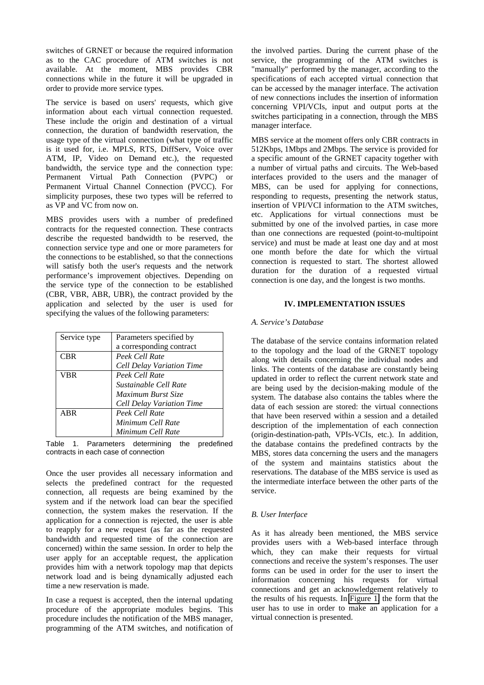switches of GRNET or because the required information as to the CAC procedure of ATM switches is not available. At the moment, MBS provides CBR connections while in the future it will be upgraded in order to provide more service types.

The service is based on users' requests, which give information about each virtual connection requested. These include the origin and destination of a virtual connection, the duration of bandwidth reservation, the usage type of the virtual connection (what type of traffic is it used for, i.e. MPLS, RTS, DiffServ, Voice over ATM, IP, Video on Demand etc.), the requested bandwidth, the service type and the connection type: Permanent Virtual Path Connection (PVPC) or Permanent Virtual Channel Connection (PVCC). For simplicity purposes, these two types will be referred to as VP and VC from now on.

MBS provides users with a number of predefined contracts for the requested connection. These contracts describe the requested bandwidth to be reserved, the connection service type and one or more parameters for the connections to be established, so that the connections will satisfy both the user's requests and the network performance's improvement objectives. Depending on the service type of the connection to be established (CBR, VBR, ABR, UBR), the contract provided by the application and selected by the user is used for specifying the values of the following parameters:

| Service type | Parameters specified by   |
|--------------|---------------------------|
|              | a corresponding contract  |
| <b>CBR</b>   | Peek Cell Rate            |
|              | Cell Delay Variation Time |
| <b>VBR</b>   | Peek Cell Rate            |
|              | Sustainable Cell Rate     |
|              | Maximum Burst Size        |
|              | Cell Delay Variation Time |
| ABR          | Peek Cell Rate            |
|              | Minimum Cell Rate         |
|              | Minimum Cell Rate         |

Table 1. Parameters determining the predefined contracts in each case of connection

Once the user provides all necessary information and selects the predefined contract for the requested connection, all requests are being examined by the system and if the network load can bear the specified connection, the system makes the reservation. If the application for a connection is rejected, the user is able to reapply for a new request (as far as the requested bandwidth and requested time of the connection are concerned) within the same session. In order to help the user apply for an acceptable request, the application provides him with a network topology map that depicts network load and is being dynamically adjusted each time a new reservation is made.

In case a request is accepted, then the internal updating procedure of the appropriate modules begins. This procedure includes the notification of the MBS manager, programming of the ATM switches, and notification of the involved parties. During the current phase of the service, the programming of the ATM switches is "manually" performed by the manager, according to the specifications of each accepted virtual connection that can be accessed by the manager interface. The activation of new connections includes the insertion of information concerning VPI/VCIs, input and output ports at the switches participating in a connection, through the MBS manager interface.

MBS service at the moment offers only CBR contracts in 512Kbps, 1Mbps and 2Mbps. The service is provided for a specific amount of the GRNET capacity together with a number of virtual paths and circuits. The Web-based interfaces provided to the users and the manager of MBS, can be used for applying for connections, responding to requests, presenting the network status, insertion of VPI/VCI information to the ATM switches, etc. Applications for virtual connections must be submitted by one of the involved parties, in case more than one connections are requested (point-to-multipoint service) and must be made at least one day and at most one month before the date for which the virtual connection is requested to start. The shortest allowed duration for the duration of a requested virtual connection is one day, and the longest is two months.

### **IV. IMPLEMENTATION ISSUES**

#### *A. Service's Database*

The database of the service contains information related to the topology and the load of the GRNET topology along with details concerning the individual nodes and links. The contents of the database are constantly being updated in order to reflect the current network state and are being used by the decision-making module of the system. The database also contains the tables where the data of each session are stored: the virtual connections that have been reserved within a session and a detailed description of the implementation of each connection (origin-destination-path, VPIs-VCIs, etc.). In addition, the database contains the predefined contracts by the MBS, stores data concerning the users and the managers of the system and maintains statistics about the reservations. The database of the MBS service is used as the intermediate interface between the other parts of the service.

# *B. User Interface*

As it has already been mentioned, the MBS service provides users with a Web-based interface through which, they can make their requests for virtual connections and receive the system's responses. The user forms can be used in order for the user to insert the information concerning his requests for virtual connections and get an acknowledgement relatively to the results of his requests. In [Figure 1,](#page-3-0) the form that the user has to use in order to make an application for a virtual connection is presented.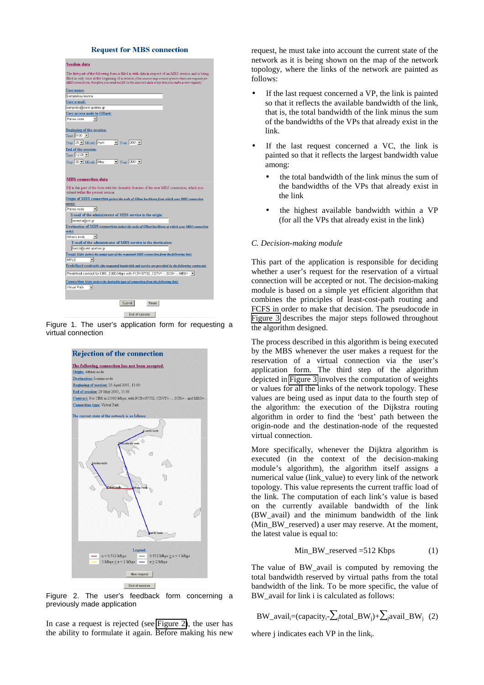#### **Request for MBS connection**

<span id="page-3-0"></span>

Figure 1. The user's application form for requesting a virtual connection



Figure 2. The user's feedback form concerning a previously made application

In case a request is rejected (see Figure 2), the user has the ability to formulate it again. Before making his new request, he must take into account the current state of the network as it is being shown on the map of the network topology, where the links of the network are painted as follows:

- If the last request concerned a VP, the link is painted so that it reflects the available bandwidth of the link, that is, the total bandwidth of the link minus the sum of the bandwidths of the VPs that already exist in the link.
- If the last request concerned a VC, the link is painted so that it reflects the largest bandwidth value among:
	- the total bandwidth of the link minus the sum of the bandwidths of the VPs that already exist in the link
	- the highest available bandwidth within a VP (for all the VPs that already exist in the link)

#### *C. Decision-making module*

This part of the application is responsible for deciding whether a user's request for the reservation of a virtual connection will be accepted or not. The decision-making module is based on a simple yet efficient algorithm that combines the principles of least-cost-path routing and FCFS in order to make that decision. The pseudocode in [Figure 3](#page-4-0) describes the major steps followed throughout the algorithm designed.

The process described in this algorithm is being executed by the MBS whenever the user makes a request for the reservation of a virtual connection via the user's application form. The third step of the algorithm depicted in [Figure 3](#page-4-0) involves the computation of weights or values for all the links of the network topology. These values are being used as input data to the fourth step of the algorithm: the execution of the Dijkstra routing algorithm in order to find the 'best' path between the origin-node and the destination-node of the requested virtual connection.

More specifically, whenever the Dijktra algorithm is executed (in the context of the decision-making module's algorithm), the algorithm itself assigns a numerical value (link\_value) to every link of the network topology. This value represents the current traffic load of the link. The computation of each link's value is based on the currently available bandwidth of the link (BW\_avail) and the minimum bandwidth of the link (Min\_BW\_reserved) a user may reserve. At the moment, the latest value is equal to:

$$
Min_BW\_reserved = 512 \text{ Kbps} \tag{1}
$$

The value of BW avail is computed by removing the total bandwidth reserved by virtual paths from the total bandwidth of the link. To be more specific, the value of BW avail for link i is calculated as follows:

$$
BW\_avail_i = (capacity_i - \sum_j total\_BW_j) + \sum_j avail\_BW_j~~(2)
$$

where j indicates each  $VP$  in the link<sub>i</sub>.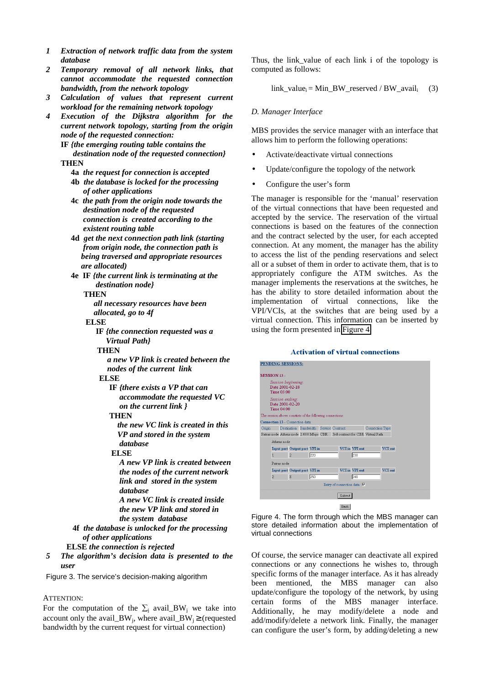- <span id="page-4-0"></span>*1 Extraction of network traffic data from the system database*
- *2 Temporary removal of all network links, that cannot accommodate the requested connection bandwidth, from the network topology*
- *3 Calculation of values that represent current workload for the remaining network topology*
- *4 Execution of the Dijkstra algorithm for the current network topology, starting from the origin node of the requested connection:*

**IF** *{the emerging routing table contains the destination node of the requested connection}* **THEN**

- **4a** *the request for connection is accepted*
- **4b** *the database is locked for the processing of other applications*
- **4c** *the path from the origin node towards the destination node of the requested connection is created according to the existent routing table*
- **4d** *get the next connection path link (starting from origin node, the connection path is being traversed and appropriate resources are allocated)*
- **4e****IF** *{the current link is terminating at the destination node}*

#### **THEN**

 *all necessary resources have been allocated, go to 4f*

### **ELSE**

 **IF** *{the connection requested was a Virtual Path}*

### **THEN**

 *a new VP link is created between the nodes of the current link*

# **ELSE**

 **IF** *{there exists a VP that can accommodate the requested VC on the current link }*

#### **THEN**

 *the new VC link is created in this VP and stored in the system database*

### **ELSE**

 *A new VP link is created between the nodes of the current network link and stored in the system database A new VC link is created inside the new VP link and stored in the system database*

**4f** *the database is unlocked for the processing of other applications*

- **ELSE** *the connection is rejected*
- *5 The algorithm's decision data is presented to the user*

Figure 3. The service's decision-making algorithm

#### ATTENTION:

For the computation of the  $\Sigma_i$  avail\_BW<sub>i</sub> we take into account only the avail\_BW<sub>i</sub>, where avail\_BW<sub>i</sub>  $\geq$  (requested bandwidth by the current request for virtual connection)

Thus, the link\_value of each link i of the topology is computed as follows:

link\_valuei = Min\_BW\_reserved / BW\_availi (3)

#### *D. Manager Interface*

MBS provides the service manager with an interface that allows him to perform the following operations:

- Activate/deactivate virtual connections
- Update/configure the topology of the network
- Configure the user's form

The manager is responsible for the 'manual' reservation of the virtual connections that have been requested and accepted by the service. The reservation of the virtual connections is based on the features of the connection and the contract selected by the user, for each accepted connection. At any moment, the manager has the ability to access the list of the pending reservations and select all or a subset of them in order to activate them, that is to appropriately configure the ATM switches. As the manager implements the reservations at the switches, he has the ability to store detailed information about the implementation of virtual connections, like the VPI/VCIs, at the switches that are being used by a virtual connection. This information can be inserted by using the form presented in Figure 4.

#### **Activation of virtual connections**





Of course, the service manager can deactivate all expired connections or any connections he wishes to, through specific forms of the manager interface. As it has already been mentioned, the MBS manager can also update/configure the topology of the network, by using certain forms of the MBS manager interface. Additionally, he may modify/delete a node and add/modify/delete a network link. Finally, the manager can configure the user's form, by adding/deleting a new